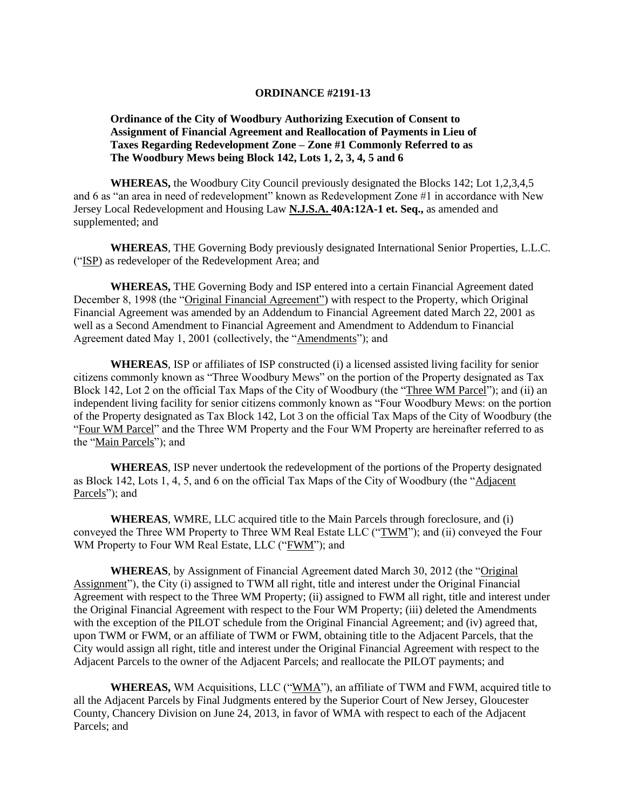## **ORDINANCE #2191-13**

## **Ordinance of the City of Woodbury Authorizing Execution of Consent to Assignment of Financial Agreement and Reallocation of Payments in Lieu of Taxes Regarding Redevelopment Zone – Zone #1 Commonly Referred to as The Woodbury Mews being Block 142, Lots 1, 2, 3, 4, 5 and 6**

**WHEREAS,** the Woodbury City Council previously designated the Blocks 142; Lot 1,2,3,4,5 and 6 as "an area in need of redevelopment" known as Redevelopment Zone #1 in accordance with New Jersey Local Redevelopment and Housing Law **N.J.S.A. 40A:12A-1 et. Seq.,** as amended and supplemented; and

**WHEREAS**, THE Governing Body previously designated International Senior Properties, L.L.C. ("ISP) as redeveloper of the Redevelopment Area; and

**WHEREAS,** THE Governing Body and ISP entered into a certain Financial Agreement dated December 8, 1998 (the "Original Financial Agreement") with respect to the Property, which Original Financial Agreement was amended by an Addendum to Financial Agreement dated March 22, 2001 as well as a Second Amendment to Financial Agreement and Amendment to Addendum to Financial Agreement dated May 1, 2001 (collectively, the "Amendments"); and

**WHEREAS**, ISP or affiliates of ISP constructed (i) a licensed assisted living facility for senior citizens commonly known as "Three Woodbury Mews" on the portion of the Property designated as Tax Block 142, Lot 2 on the official Tax Maps of the City of Woodbury (the "Three WM Parcel"); and (ii) an independent living facility for senior citizens commonly known as "Four Woodbury Mews: on the portion of the Property designated as Tax Block 142, Lot 3 on the official Tax Maps of the City of Woodbury (the "Four WM Parcel" and the Three WM Property and the Four WM Property are hereinafter referred to as the "Main Parcels"); and

**WHEREAS**, ISP never undertook the redevelopment of the portions of the Property designated as Block 142, Lots 1, 4, 5, and 6 on the official Tax Maps of the City of Woodbury (the "Adjacent Parcels"); and

**WHEREAS**, WMRE, LLC acquired title to the Main Parcels through foreclosure, and (i) conveyed the Three WM Property to Three WM Real Estate LLC ("TWM"); and (ii) conveyed the Four WM Property to Four WM Real Estate, LLC ("FWM"); and

**WHEREAS**, by Assignment of Financial Agreement dated March 30, 2012 (the "Original Assignment"), the City (i) assigned to TWM all right, title and interest under the Original Financial Agreement with respect to the Three WM Property; (ii) assigned to FWM all right, title and interest under the Original Financial Agreement with respect to the Four WM Property; (iii) deleted the Amendments with the exception of the PILOT schedule from the Original Financial Agreement; and (iv) agreed that, upon TWM or FWM, or an affiliate of TWM or FWM, obtaining title to the Adjacent Parcels, that the City would assign all right, title and interest under the Original Financial Agreement with respect to the Adjacent Parcels to the owner of the Adjacent Parcels; and reallocate the PILOT payments; and

**WHEREAS,** WM Acquisitions, LLC ("WMA"), an affiliate of TWM and FWM, acquired title to all the Adjacent Parcels by Final Judgments entered by the Superior Court of New Jersey, Gloucester County, Chancery Division on June 24, 2013, in favor of WMA with respect to each of the Adjacent Parcels; and